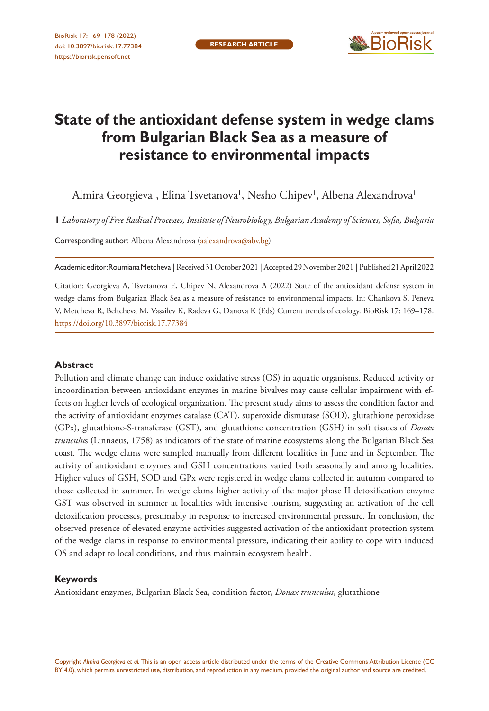

# **State of the antioxidant defense system in wedge clams from Bulgarian Black Sea as a measure of resistance to environmental impacts**

Almira Georgieva', Elina Tsvetanova', Nesho Chipev', Albena Alexandrova'

**1** *Laboratory of Free Radical Processes, Institute of Neurobiology, Bulgarian Academy of Sciences, Sofia, Bulgaria*

Corresponding author: Albena Alexandrova ([aalexandrova@abv.bg\)](mailto:aalexandrova@abv.bg)

Academic editor: Roumiana Metcheva | Received 31 October 2021 | Accepted 29 November 2021 | Published 21 April 2022

Citation: Georgieva A, Tsvetanova E, Chipev N, Alexandrova A (2022) State of the antioxidant defense system in wedge clams from Bulgarian Black Sea as a measure of resistance to environmental impacts. In: Chankova S, Peneva V, Metcheva R, Beltcheva M, Vassilev K, Radeva G, Danova K (Eds) Current trends of ecology. BioRisk 17: 169–178. <https://doi.org/10.3897/biorisk.17.77384>

#### **Abstract**

Pollution and climate change can induce oxidative stress (OS) in aquatic organisms. Reduced activity or incoordination between antioxidant enzymes in marine bivalves may cause cellular impairment with effects on higher levels of ecological organization. The present study aims to assess the condition factor and the activity of antioxidant enzymes catalase (CAT), superoxide dismutase (SOD), glutathione peroxidase (GPx), glutathione-S-transferase (GST), and glutathione concentration (GSH) in soft tissues of *Donax trunculu*s (Linnaeus, 1758) as indicators of the state of marine ecosystems along the Bulgarian Black Sea coast. The wedge clams were sampled manually from different localities in June and in September. The activity of antioxidant enzymes and GSH concentrations varied both seasonally and among localities. Higher values of GSH, SOD and GPx were registered in wedge clams collected in autumn compared to those collected in summer. In wedge clams higher activity of the major phase II detoxification enzyme GST was observed in summer at localities with intensive tourism, suggesting an activation of the cell detoxification processes, presumably in response to increased environmental pressure. In conclusion, the observed presence of elevated enzyme activities suggested activation of the antioxidant protection system of the wedge clams in response to environmental pressure, indicating their ability to cope with induced OS and adapt to local conditions, and thus maintain ecosystem health.

#### **Keywords**

Antioxidant enzymes, Bulgarian Black Sea, condition factor, *Donax trunculus*, glutathione

Copyright *Almira Georgieva et al.* This is an open access article distributed under the terms of the [Creative Commons Attribution License \(CC](http://creativecommons.org/licenses/by/4.0/)  [BY 4.0\)](http://creativecommons.org/licenses/by/4.0/), which permits unrestricted use, distribution, and reproduction in any medium, provided the original author and source are credited.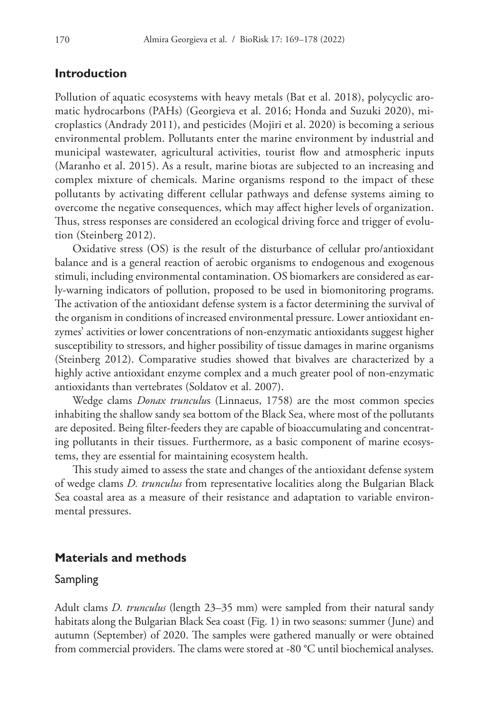# **Introduction**

Pollution of aquatic ecosystems with heavy metals (Bat et al. 2018), polycyclic aromatic hydrocarbons (PAHs) (Georgieva et al. 2016; Honda and Suzuki 2020), microplastics (Andrady 2011), and pesticides (Mojiri et al. 2020) is becoming a serious environmental problem. Pollutants enter the marine environment by industrial and municipal wastewater, agricultural activities, tourist flow and atmospheric inputs (Maranho et al. 2015). As a result, marine biotas are subjected to an increasing and complex mixture of chemicals. Marine organisms respond to the impact of these pollutants by activating different cellular pathways and defense systems aiming to overcome the negative consequences, which may affect higher levels of organization. Thus, stress responses are considered an ecological driving force and trigger of evolution (Steinberg 2012).

Oxidative stress (OS) is the result of the disturbance of cellular pro/antioxidant balance and is a general reaction of aerobic organisms to endogenous and exogenous stimuli, including environmental contamination. OS biomarkers are considered as early-warning indicators of pollution, proposed to be used in biomonitoring programs. The activation of the antioxidant defense system is a factor determining the survival of the organism in conditions of increased environmental pressure. Lower antioxidant enzymes' activities or lower concentrations of non-enzymatic antioxidants suggest higher susceptibility to stressors, and higher possibility of tissue damages in marine organisms (Steinberg 2012). Comparative studies showed that bivalves are characterized by a highly active antioxidant enzyme complex and a much greater pool of non-enzymatic antioxidants than vertebrates (Soldatov et al. 2007).

Wedge clams *Donax trunculu*s (Linnaeus, 1758) are the most common species inhabiting the shallow sandy sea bottom of the Black Sea, where most of the pollutants are deposited. Being filter-feeders they are capable of bioaccumulating and concentrating pollutants in their tissues. Furthermore, as a basic component of marine ecosystems, they are essential for maintaining ecosystem health.

This study aimed to assess the state and changes of the antioxidant defense system of wedge clams *D. trunculus* from representative localities along the Bulgarian Black Sea coastal area as a measure of their resistance and adaptation to variable environmental pressures.

# **Materials and methods**

### Sampling

Adult clams *D. trunculus* (length 23–35 mm) were sampled from their natural sandy habitats along the Bulgarian Black Sea coast (Fig. 1) in two seasons: summer (June) and autumn (September) of 2020. The samples were gathered manually or were obtained from commercial providers. The clams were stored at -80 °C until biochemical analyses.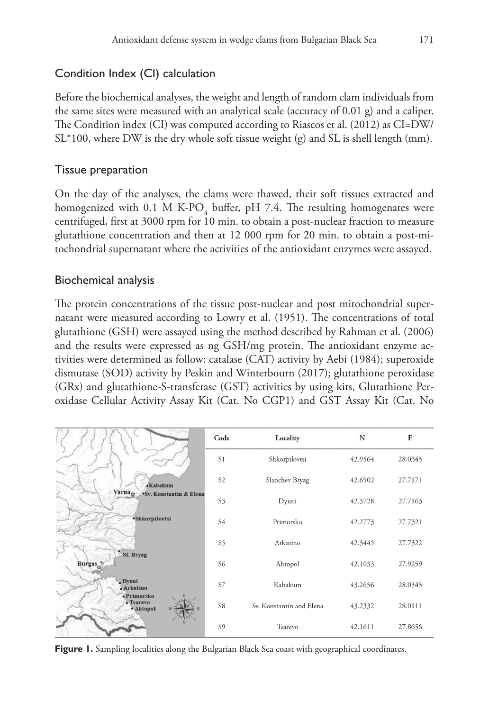# Condition Index (CI) calculation

Before the biochemical analyses, the weight and length of random clam individuals from the same sites were measured with an analytical scale (accuracy of 0.01 g) and a caliper. The Condition index (CI) was computed according to Riascos et al. (2012) as CI=DW/ SL\*100, where DW is the dry whole soft tissue weight (g) and SL is shell length (mm).

# Tissue preparation

On the day of the analyses, the clams were thawed, their soft tissues extracted and homogenized with 0.1 M K-PO<sub>4</sub> buffer, pH 7.4. The resulting homogenates were centrifuged, first at 3000 rpm for 10 min. to obtain a post-nuclear fraction to measure glutathione concentration and then at 12 000 rpm for 20 min. to obtain a post-mitochondrial supernatant where the activities of the antioxidant enzymes were assayed.

# Biochemical analysis

The protein concentrations of the tissue post-nuclear and post mitochondrial supernatant were measured according to Lowry et al. (1951). The concentrations of total glutathione (GSH) were assayed using the method described by Rahman et al. (2006) and the results were expressed as ng GSH/mg protein. The antioxidant enzyme activities were determined as follow: catalase (CAT) activity by Aebi (1984); superoxide dismutase (SOD) activity by Peskin and Winterbourn (2017); glutathione peroxidase (GRx) and glutathione-S-transferase (GST) activities by using kits, Glutathione Peroxidase Cellular Activity Assay Kit (Cat. No CGP1) and GST Assay Kit (Cat. No

|                                               | Code           | Locality                 | N       | E       |
|-----------------------------------------------|----------------|--------------------------|---------|---------|
|                                               | S <sub>1</sub> | Shkorpilovtsi            | 42.9564 | 28.0345 |
| • Kabakum                                     | S <sub>2</sub> | Slanchev Bryag           | 42.6902 | 27.7171 |
| Varna <sub>o</sub><br>·Sv. Konstantin & Elena | S3             | Dyuni                    | 42.3728 | 27.7163 |
| ·Shkorpilovtsi                                | S4             | Primorsko                | 42.2773 | 27.7321 |
|                                               | S5             | Arkutino                 | 42.3445 | 27.7322 |
| Sl. Bryag<br><b>Burgas</b>                    | S6             | Ahtopol                  | 42.1033 | 27.9259 |
| .Dvuni<br>$\Delta$ rkutino                    | S7             | Kabakum                  | 43.2656 | 28.0345 |
| • Primorsko<br>• Tsarevo<br>· Ahtopol         | S8             | Sv. Konstantin and Elena | 43.2332 | 28.0111 |
|                                               | S <sub>9</sub> | Tsarevo                  | 42.1611 | 27.8656 |

Figure 1. Sampling localities along the Bulgarian Black Sea coast with geographical coordinates.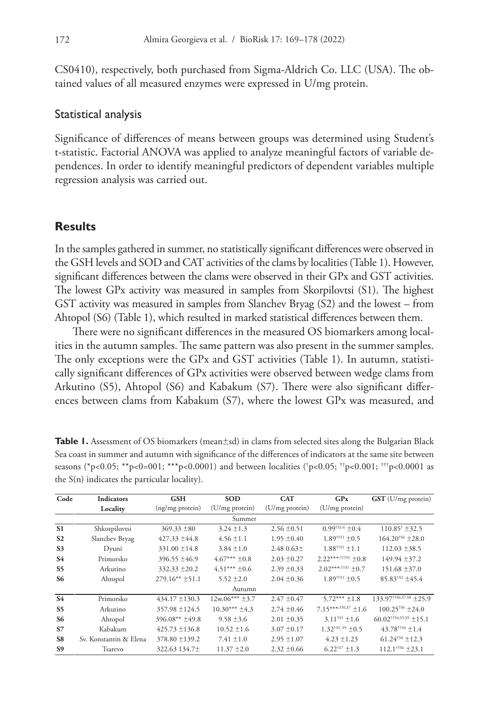CS0410), respectively, both purchased from Sigma-Aldrich Co. LLC (USA). The obtained values of all measured enzymes were expressed in U/mg protein.

#### Statistical analysis

Significance of differences of means between groups was determined using Student's t-statistic. Factorial ANOVA was applied to analyze meaningful factors of variable dependences. In order to identify meaningful predictors of dependent variables multiple regression analysis was carried out.

# **Results**

In the samples gathered in summer, no statistically significant differences were observed in the GSH levels and SOD and CAT activities of the clams by localities (Table 1). However, significant differences between the clams were observed in their GPx and GST activities. The lowest GPx activity was measured in samples from Skorpilovtsi (S1). The highest GST activity was measured in samples from Slanchev Bryag (S2) and the lowest – from Ahtopol (S6) (Table 1), which resulted in marked statistical differences between them.

There were no significant differences in the measured OS biomarkers among localities in the autumn samples. The same pattern was also present in the summer samples. The only exceptions were the GPx and GST activities (Table 1). In autumn, statistically significant differences of GPx activities were observed between wedge clams from Arkutino (S5), Ahtopol (S6) and Kabakum (S7). There were also significant differences between clams from Kabakum (S7), where the lowest GPx was measured, and

| <b>Table 1.</b> Assessment of OS biomarkers (mean $\pm$ sd) in clams from selected sites along the Bulgarian Black |
|--------------------------------------------------------------------------------------------------------------------|
| Sea coast in summer and autumn with significance of the differences of indicators at the same site between         |
| seasons (*p<0.05; **p<0=001; ***p<0.0001) and between localities (*p<0.05; **p<0.001; ***p<0.0001 as               |
| the $S(n)$ indicates the particular locality).                                                                     |

| Code           | <b>Indicators</b>      | <b>GSH</b>            | <b>SOD</b>        | <b>CAT</b>      | GPX                                | GST (U/mg protein)                  |
|----------------|------------------------|-----------------------|-------------------|-----------------|------------------------------------|-------------------------------------|
|                | Locality               | (ng/mg protein)       | (U/mg protein)    | (U/mg protein)  | (U/mg protein)                     |                                     |
|                | Summer                 |                       |                   |                 |                                    |                                     |
| S <sub>1</sub> | Shkorpilovtsi          | $369.33 \pm 80$       | $3.24 \pm 1.3$    | $2.56 \pm 0.51$ | $0.99$ <sup>†S2-6</sup> +0.4       | $110.85^{\dagger}$ ± 32.5           |
| S <sub>2</sub> | Slanchev Bryag         | $427.33 \pm 44.8$     | $4.56 \pm 1.1$    | $1.95 \pm 0.40$ | $1.89^{\dagger\dagger}$ S1 + 0.5   | $164.20^{+56}$ + 28.0               |
| S <sub>3</sub> | Dyuni                  | $331.00 \pm 14.8$     | $3.84 \pm 1.0$    | 2.48 $0.63\pm$  | $1.88^{\dagger\dagger S1} \pm 1.1$ | $112.03 \pm 38.5$                   |
| <b>S4</b>      | Primorsko              | $396.55 \pm 46.9$     | $4.67***\pm0.8$   | $2.03 \pm 0.27$ | $2.22***$ ;\times1 +0.8            | $149.94 \pm 37.2$                   |
| S <sub>5</sub> | Arkutino               | $332.33 \pm 20.2$     | $4.51***\pm0.6$   | $2.39 \pm 0.33$ | $2.02***$ :#\$1 +0.7               | $151.68 \pm 37.0$                   |
| S6             | Ahtopol                | $279.16**$ $\pm 51.1$ | $5.52 \pm 2.0$    | $2.04 \pm 0.36$ | $1.89^{\dagger\dagger}$ S1 + 0.5   | $85.83^{+52}$ ±45.4                 |
|                | Autumn                 |                       |                   |                 |                                    |                                     |
| <b>S4</b>      | Primorsko              | $434.17 \pm 130.3$    | $12w.06***\pm3.7$ | $2.47 \pm 0.47$ | $5.72***$ ±1.8                     | $133.97^{\text{+}156,57,58}$ ± 25.9 |
| S5             | Arkutino               | $357.98 \pm 124.5$    | $10.30***\pm4.3$  | $2.74 \pm 0.46$ | $7.15***$ \$6,57 + 1.6             | $100.25$ <sup>+S6</sup> + 24.0      |
| S <sub>6</sub> | Ahtopol                | 396.08** ±49.8        | $9.58 \pm 3.6$    | $2.01 \pm 0.35$ | $3.11^{+55} \pm 1.6$               | $60.02^{\text{+}54,55,59}$ ± 15.1   |
| <b>S7</b>      | Kabakum                | $425.73 \pm 136.8$    | $10.52 \pm 1.6$   | $3.07 \pm 0.17$ | $1.32^{\text{+S5, S9}} \pm 0.5$    | $43.78$ <sup>††\$4</sup> ±1.4       |
| S8             | Sv. Konstantin & Elena | $378.80 \pm 139.2$    | $7.41 \pm 1.0$    | $2.95 \pm 1.07$ | $4.23 \pm 1.23$                    | $61.24*54 \pm 12.3$                 |
| S9             | Tsarevo                | 322.63 134.7±         | $11.37 \pm 2.0$   | $2.32 \pm 0.66$ | $6.22^{\text{+S7}}$ + 1.3          | $112.1$ <sup>††56</sup> +23.1       |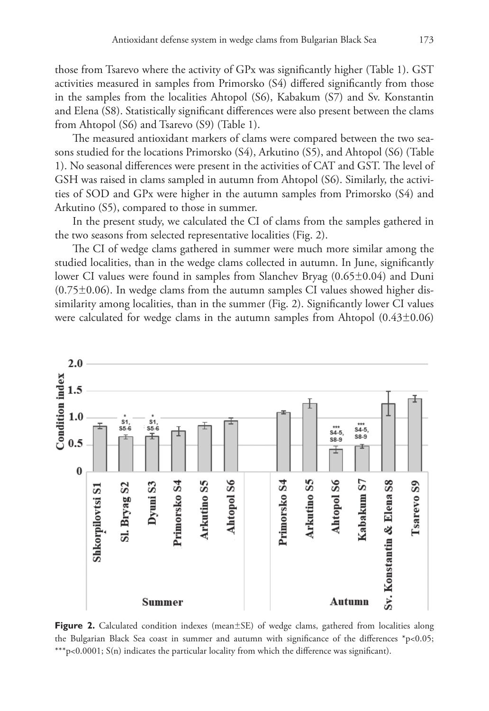those from Tsarevo where the activity of GPx was significantly higher (Table 1). GST activities measured in samples from Primorsko (S4) differed significantly from those in the samples from the localities Ahtopol (S6), Kabakum (S7) and Sv. Konstantin and Elena (S8). Statistically significant differences were also present between the clams from Ahtopol (S6) and Tsarevo (S9) (Table 1).

The measured antioxidant markers of clams were compared between the two seasons studied for the locations Primorsko (S4), Arkutino (S5), and Ahtopol (S6) (Table 1). No seasonal differences were present in the activities of CAT and GST. The level of GSH was raised in clams sampled in autumn from Ahtopol (S6). Similarly, the activities of SOD and GPx were higher in the autumn samples from Primorsko (S4) and Arkutino (S5), compared to those in summer.

In the present study, we calculated the CI of clams from the samples gathered in the two seasons from selected representative localities (Fig. 2).

The CI of wedge clams gathered in summer were much more similar among the studied localities, than in the wedge clams collected in autumn. In June, significantly lower CI values were found in samples from Slanchev Bryag (0.65±0.04) and Duni  $(0.75\pm0.06)$ . In wedge clams from the autumn samples CI values showed higher dissimilarity among localities, than in the summer (Fig. 2). Significantly lower CI values were calculated for wedge clams in the autumn samples from Ahtopol (0.43±0.06)



**Figure 2.** Calculated condition indexes (mean±SE) of wedge clams, gathered from localities along the Bulgarian Black Sea coast in summer and autumn with significance of the differences \*p<0.05; \*\*\*p<0.0001; S(n) indicates the particular locality from which the difference was significant).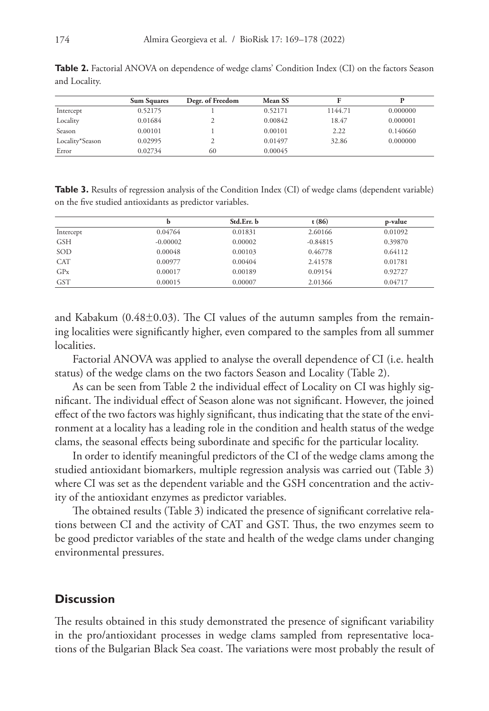|                 | <b>Sum Squares</b> | Degr. of Freedom | Mean SS |         |          |
|-----------------|--------------------|------------------|---------|---------|----------|
| Intercept       | 0.52175            |                  | 0.52171 | 1144.71 | 0.000000 |
| Locality        | 0.01684            |                  | 0.00842 | 18.47   | 0.000001 |
| Season          | 0.00101            |                  | 0.00101 | 2.22    | 0.140660 |
| Locality*Season | 0.02995            |                  | 0.01497 | 32.86   | 0.000000 |
| Error           | 0.02734            | 60               | 0.00045 |         |          |

**Table 2.** Factorial ANOVA on dependence of wedge clams' Condition Index (CI) on the factors Season and Locality.

**Table 3.** Results of regression analysis of the Condition Index (CI) of wedge clams (dependent variable) on the five studied antioxidants as predictor variables.

|                 | b          | Std.Err. b | t(86)      | p-value |
|-----------------|------------|------------|------------|---------|
| Intercept       | 0.04764    | 0.01831    | 2.60166    | 0.01092 |
| <b>GSH</b>      | $-0.00002$ | 0.00002    | $-0.84815$ | 0.39870 |
| SOD             | 0.00048    | 0.00103    | 0.46778    | 0.64112 |
| <b>CAT</b>      | 0.00977    | 0.00404    | 2.41578    | 0.01781 |
| GP <sub>x</sub> | 0.00017    | 0.00189    | 0.09154    | 0.92727 |
| <b>GST</b>      | 0.00015    | 0.00007    | 2.01366    | 0.04717 |

and Kabakum  $(0.48\pm0.03)$ . The CI values of the autumn samples from the remaining localities were significantly higher, even compared to the samples from all summer localities.

Factorial ANOVA was applied to analyse the overall dependence of CI (i.e. health status) of the wedge clams on the two factors Season and Locality (Table 2).

As can be seen from Table 2 the individual effect of Locality on CI was highly significant. The individual effect of Season alone was not significant. However, the joined effect of the two factors was highly significant, thus indicating that the state of the environment at a locality has a leading role in the condition and health status of the wedge clams, the seasonal effects being subordinate and specific for the particular locality.

In order to identify meaningful predictors of the CI of the wedge clams among the studied antioxidant biomarkers, multiple regression analysis was carried out (Table 3) where CI was set as the dependent variable and the GSH concentration and the activity of the antioxidant enzymes as predictor variables.

The obtained results (Table 3) indicated the presence of significant correlative relations between CI and the activity of CAT and GST. Thus, the two enzymes seem to be good predictor variables of the state and health of the wedge clams under changing environmental pressures.

### **Discussion**

The results obtained in this study demonstrated the presence of significant variability in the pro/antioxidant processes in wedge clams sampled from representative locations of the Bulgarian Black Sea coast. The variations were most probably the result of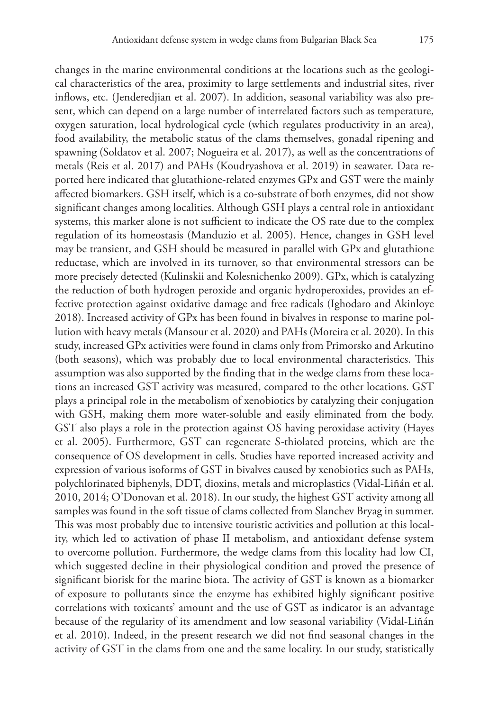changes in the marine environmental conditions at the locations such as the geological characteristics of the area, proximity to large settlements and industrial sites, river inflows, etc. (Jenderedjian et al. 2007). In addition, seasonal variability was also present, which can depend on a large number of interrelated factors such as temperature, oxygen saturation, local hydrological cycle (which regulates productivity in an area), food availability, the metabolic status of the clams themselves, gonadal ripening and spawning (Soldatov et al. 2007; Nogueira et al. 2017), as well as the concentrations of metals (Reis et al. 2017) and PAHs (Koudryashova et al. 2019) in seawater. Data reported here indicated that glutathione-related enzymes GPx and GST were the mainly affected biomarkers. GSH itself, which is a co-substrate of both enzymes, did not show significant changes among localities. Although GSH plays a central role in antioxidant systems, this marker alone is not sufficient to indicate the OS rate due to the complex regulation of its homeostasis (Manduzio et al. 2005). Hence, changes in GSH level may be transient, and GSH should be measured in parallel with GPx and glutathione reductase, which are involved in its turnover, so that environmental stressors can be more precisely detected (Kulinskii and Kolesnichenko 2009). GPx, which is catalyzing the reduction of both hydrogen peroxide and organic hydroperoxides, provides an effective protection against oxidative damage and free radicals (Ighodaro and Akinloye 2018). Increased activity of GPx has been found in bivalves in response to marine pollution with heavy metals (Mansour et al. 2020) and PAHs (Moreira et al. 2020). In this study, increased GPx activities were found in clams only from Primorsko and Arkutino (both seasons), which was probably due to local environmental characteristics. This assumption was also supported by the finding that in the wedge clams from these locations an increased GST activity was measured, compared to the other locations. GST plays a principal role in the metabolism of xenobiotics by catalyzing their conjugation with GSH, making them more water-soluble and easily eliminated from the body. GST also plays a role in the protection against OS having peroxidase activity (Hayes et al. 2005). Furthermore, GST can regenerate S-thiolated proteins, which are the consequence of OS development in cells. Studies have reported increased activity and expression of various isoforms of GST in bivalves caused by xenobiotics such as PAHs, polychlorinated biphenyls, DDT, dioxins, metals and microplastics (Vidal-Liñán et al. 2010, 2014; O'Donovan et al. 2018). In our study, the highest GST activity among all samples was found in the soft tissue of clams collected from Slanchev Bryag in summer. This was most probably due to intensive touristic activities and pollution at this locality, which led to activation of phase II metabolism, and antioxidant defense system to overcome pollution. Furthermore, the wedge clams from this locality had low CI, which suggested decline in their physiological condition and proved the presence of significant biorisk for the marine biota. The activity of GST is known as a biomarker of exposure to pollutants since the enzyme has exhibited highly significant positive correlations with toxicants' amount and the use of GST as indicator is an advantage because of the regularity of its amendment and low seasonal variability (Vidal-Liñán et al. 2010). Indeed, in the present research we did not find seasonal changes in the activity of GST in the clams from one and the same locality. In our study, statistically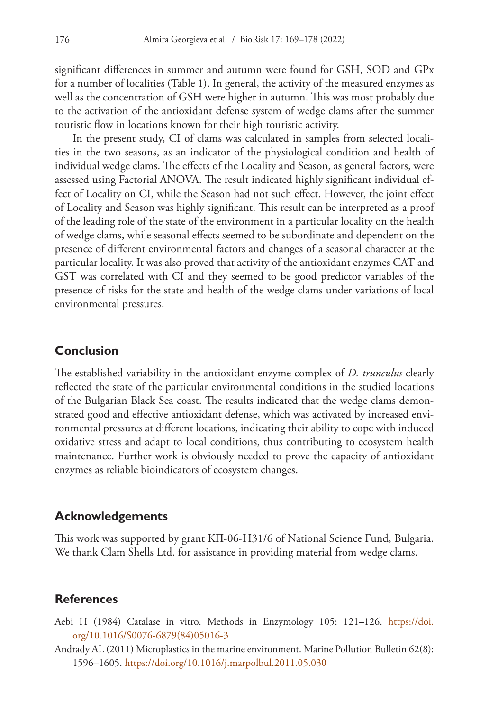significant differences in summer and autumn were found for GSH, SOD and GPx for a number of localities (Table 1). In general, the activity of the measured enzymes as well as the concentration of GSH were higher in autumn. This was most probably due to the activation of the antioxidant defense system of wedge clams after the summer touristic flow in locations known for their high touristic activity.

In the present study, CI of clams was calculated in samples from selected localities in the two seasons, as an indicator of the physiological condition and health of individual wedge clams. The effects of the Locality and Season, as general factors, were assessed using Factorial ANOVA. The result indicated highly significant individual effect of Locality on CI, while the Season had not such effect. However, the joint effect of Locality and Season was highly significant. This result can be interpreted as a proof of the leading role of the state of the environment in a particular locality on the health of wedge clams, while seasonal effects seemed to be subordinate and dependent on the presence of different environmental factors and changes of a seasonal character at the particular locality. It was also proved that activity of the antioxidant enzymes CAT and GST was correlated with CI and they seemed to be good predictor variables of the presence of risks for the state and health of the wedge clams under variations of local environmental pressures.

### **Conclusion**

The established variability in the antioxidant enzyme complex of *D. trunculus* clearly reflected the state of the particular environmental conditions in the studied locations of the Bulgarian Black Sea coast. The results indicated that the wedge clams demonstrated good and effective antioxidant defense, which was activated by increased environmental pressures at different locations, indicating their ability to cope with induced oxidative stress and adapt to local conditions, thus contributing to ecosystem health maintenance. Further work is obviously needed to prove the capacity of antioxidant enzymes as reliable bioindicators of ecosystem changes.

### **Acknowledgements**

This work was supported by grant KП-06-H31/6 of National Science Fund, Bulgaria. We thank Clam Shells Ltd. for assistance in providing material from wedge clams.

# **References**

- Aebi H (1984) Catalase in vitro. Methods in Enzymology 105: 121–126. [https://doi.](https://doi.org/10.1016/S0076-6879(84)05016-3) [org/10.1016/S0076-6879\(84\)05016-3](https://doi.org/10.1016/S0076-6879(84)05016-3)
- Andrady AL (2011) Microplastics in the marine environment. Marine Pollution Bulletin 62(8): 1596–1605.<https://doi.org/10.1016/j.marpolbul.2011.05.030>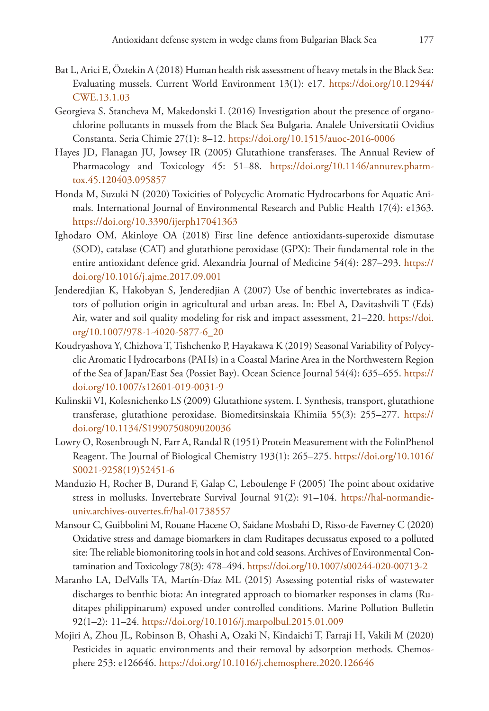- Bat L, Arici E, Öztekin A (2018) Human health risk assessment of heavy metals in the Black Sea: Evaluating mussels. Current World Environment 13(1): e17. [https://doi.org/10.12944/](https://doi.org/10.12944/CWE.13.1.03) [CWE.13.1.03](https://doi.org/10.12944/CWE.13.1.03)
- Georgieva S, Stancheva M, Makedonski L (2016) Investigation about the presence of organochlorine pollutants in mussels from the Black Sea Bulgaria. Analele Universitatii Ovidius Constanta. Seria Chimie 27(1): 8–12.<https://doi.org/10.1515/auoc-2016-0006>
- Hayes JD, Flanagan JU, Jowsey IR (2005) Glutathione transferases. The Annual Review of Pharmacology and Toxicology 45: 51-88. [https://doi.org/10.1146/annurev.pharm](https://doi.org/10.1146/annurev.pharmtox.45.120403.095857)[tox.45.120403.095857](https://doi.org/10.1146/annurev.pharmtox.45.120403.095857)
- Honda M, Suzuki N (2020) Toxicities of Polycyclic Aromatic Hydrocarbons for Aquatic Animals. International Journal of Environmental Research and Public Health 17(4): e1363. <https://doi.org/10.3390/ijerph17041363>
- Ighodaro OM, Akinloye OA (2018) First line defence antioxidants-superoxide dismutase (SOD), catalase (CAT) and glutathione peroxidase (GPX): Their fundamental role in the entire antioxidant defence grid. Alexandria Journal of Medicine 54(4): 287–293. [https://](https://doi.org/10.1016/j.ajme.2017.09.001) [doi.org/10.1016/j.ajme.2017.09.001](https://doi.org/10.1016/j.ajme.2017.09.001)
- Jenderedjian K, Hakobyan S, Jenderedjian A (2007) Use of benthic invertebrates as indicators of pollution origin in agricultural and urban areas. In: Ebel A, Davitashvili T (Eds) Air, water and soil quality modeling for risk and impact assessment, 21–220. [https://doi.](https://doi.org/10.1007/978-1-4020-5877-6_20) [org/10.1007/978-1-4020-5877-6\\_20](https://doi.org/10.1007/978-1-4020-5877-6_20)
- Koudryashova Y, Chizhova T, Tishchenko P, Hayakawa K (2019) Seasonal Variability of Polycyclic Aromatic Hydrocarbons (PAHs) in a Coastal Marine Area in the Northwestern Region of the Sea of Japan/East Sea (Possiet Bay). Ocean Science Journal 54(4): 635–655. [https://](https://doi.org/10.1007/s12601-019-0031-9) [doi.org/10.1007/s12601-019-0031-9](https://doi.org/10.1007/s12601-019-0031-9)
- Kulinskii VI, Kolesnichenko LS (2009) Glutathione system. I. Synthesis, transport, glutathione transferase, glutathione peroxidase. Biomeditsinskaia Khimiia 55(3): 255–277. [https://](https://doi.org/10.1134/S1990750809020036) [doi.org/10.1134/S1990750809020036](https://doi.org/10.1134/S1990750809020036)
- Lowry O, Rosenbrough N, Farr A, Randal R (1951) Protein Measurement with the FolinPhenol Reagent. The Journal of Biological Chemistry 193(1): 265–275. [https://doi.org/10.1016/](https://doi.org/10.1016/S0021-9258(19)52451-6) [S0021-9258\(19\)52451-6](https://doi.org/10.1016/S0021-9258(19)52451-6)
- Manduzio H, Rocher B, Durand F, Galap C, Leboulenge F (2005) The point about oxidative stress in mollusks. Invertebrate Survival Journal 91(2): 91–104. [https://hal-normandie](https://hal-normandie-univ.archives-ouvertes.fr/hal-01738557)[univ.archives-ouvertes.fr/hal-01738557](https://hal-normandie-univ.archives-ouvertes.fr/hal-01738557)
- Mansour C, Guibbolini M, Rouane Hacene O, Saidane Mosbahi D, Risso-de Faverney C (2020) Oxidative stress and damage biomarkers in clam Ruditapes decussatus exposed to a polluted site: The reliable biomonitoring tools in hot and cold seasons. Archives of Environmental Contamination and Toxicology 78(3): 478–494. <https://doi.org/10.1007/s00244-020-00713-2>
- Maranho LA, DelValls TA, Martín-Díaz ML (2015) Assessing potential risks of wastewater discharges to benthic biota: An integrated approach to biomarker responses in clams (Ruditapes philippinarum) exposed under controlled conditions. Marine Pollution Bulletin 92(1–2): 11–24. <https://doi.org/10.1016/j.marpolbul.2015.01.009>
- Mojiri A, Zhou JL, Robinson B, Ohashi A, Ozaki N, Kindaichi T, Farraji H, Vakili M (2020) Pesticides in aquatic environments and their removal by adsorption methods. Chemosphere 253: e126646.<https://doi.org/10.1016/j.chemosphere.2020.126646>